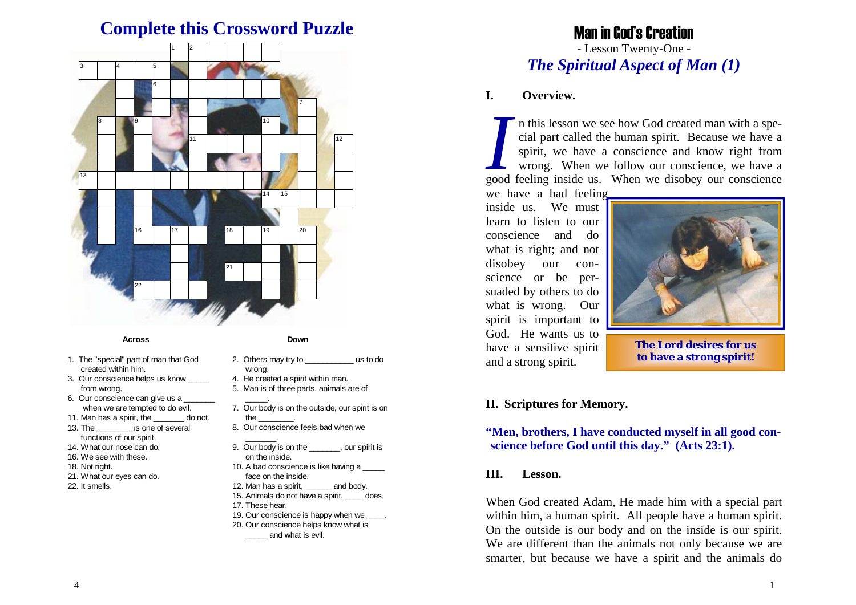# **Complete this Crossword Puzzle**



#### **Across**

- 1. The "special" part of man that God created within him.
- 3. Our conscience helps us know from wrong.
- 6. Our conscience can give us a when we are tempted to do evil.
- 11. Man has a spirit, the \_\_\_\_\_\_\_ do not.
- 13. The **is one of several** functions of our spirit.
- 14. What our nose can do.
- 16. We see with these.
- 18. Not right.
- 21. What our eyes can do.
- 22. It smells.
- **Down**
- 2. Others may try to \_\_\_\_\_\_\_\_\_\_\_ us to do wrong.
- 4. He created a spirit within man.
- 5. Man is of three parts, animals are of
- $\sim$ 7. Our body is on the outside, our spirit is on the \_\_\_\_\_\_\_\_.
- 8. Our conscience feels bad when we
- 9. Our body is on the \_\_\_\_\_\_\_, our spirit is on the inside.
- 10. A bad conscience is like having a \_ face on the inside.
- 12. Man has a spirit, and body.
- 15. Animals do not have a spirit, does.
- 17. These hear.

\_\_\_\_\_\_\_.

- 19. Our conscience is happy when we 20. Our conscience helps know what is
- \_\_\_\_\_ and what is evil.

# Man in God's Creation

# - Lesson Twenty-One - *The Spiritual Aspect of Man (1)*

#### **I. Overview.**

*I* n this lesson we see how God created man with a spe- cial part called the human spirit. Because we have a spirit, we have a conscience and know right from wrong. When we follow our conscience, we have a good feeling inside us. When we disobey our conscience

we have a bad feeling inside us. We must learn to listen to our conscience and do what is right; and not disobey our conscience or be persuaded by others to do what is wrong. Our spirit is important to God. He wants us to have a sensitive spirit and a strong spirit.



**The Lord desires for us to have a strong spirit!** 

### **II. Scriptures for Memory.**

# **"Men, brothers, I have conducted myself in all good conscience before God until this day." (Acts 23:1).**

### **III. Lesson.**

When God created Adam, He made him with a special part within him, a human spirit. All people have a human spirit. On the outside is our body and on the inside is our spirit. We are different than the animals not only because we are smarter, but because we have a spirit and the animals do